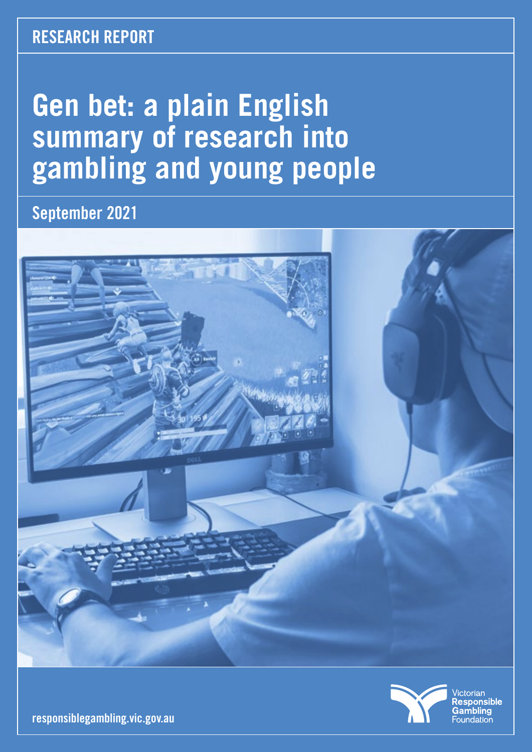### **RESEARCH REPORT**

# **Gen bet: a plain English summary of research into gambling and young people**

**September 2021**





Victorian<br>**Responsible** Gambling Foundation

**responsiblegambling.vic.gov.au**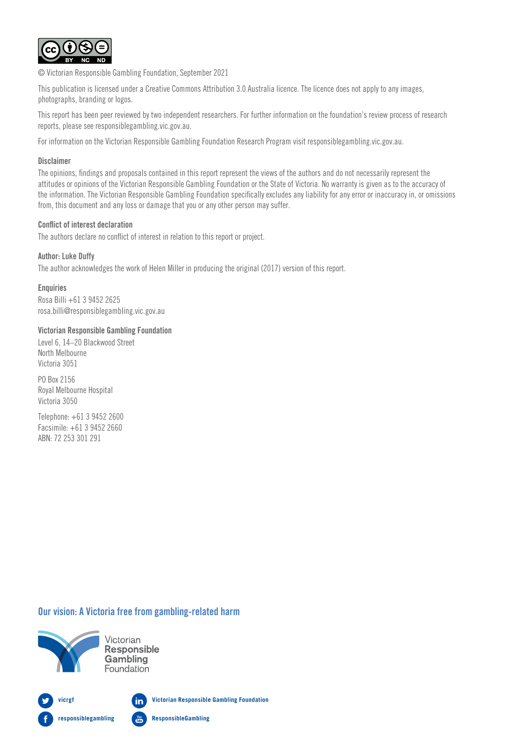

© Victorian Responsible Gambling Foundation, September 2021

This publication is licensed under a Creative Commons Attribution 3.0 Australia licence. The licence does not apply to any images, photographs, branding or logos.

This report has been peer reviewed by two independent researchers. For further information on the foundation's review process of research reports, please see responsiblegambling.vic.gov.au.

For information on the Victorian Responsible Gambling Foundation Research Program visit responsiblegambling.vic.gov.au.

#### Disclaimer

The opinions, findings and proposals contained in this report represent the views of the authors and do not necessarily represent the attitudes or opinions of the Victorian Responsible Gambling Foundation or the State of Victoria. No warranty is given as to the accuracy of the information. The Victorian Responsible Gambling Foundation specifically excludes any liability for any error or inaccuracy in, or omissions from, this document and any loss or damage that you or any other person may suffer.

#### Conflict of interest declaration

The authors declare no conflict of interest in relation to this report or project.

#### Author: Luke Duffy

The author acknowledges the work of Helen Miller in producing the original (2017) version of this report.

**Enquiries** Rosa Billi +61 3 9452 2625 rosa.billi@responsiblegambling.vic.gov.au

#### Victorian Responsible Gambling Foundation

Level 6, 14–20 Blackwood Street North Melbourne Victoria 3051

PO Box 2156 Royal Melbourne Hospital Victoria 3050

Telephone: +61 3 9452 2600 Facsimile: +61 3 9452 2660 ABN: 72 253 301 291

#### Our vision: A Victoria free from gambling-related harm



Victorian **Responsible** Gambling Foundation

**Victorian Responsible Gambling Foundation vicrgf** in **responsiblegambling ResponsibleGambling**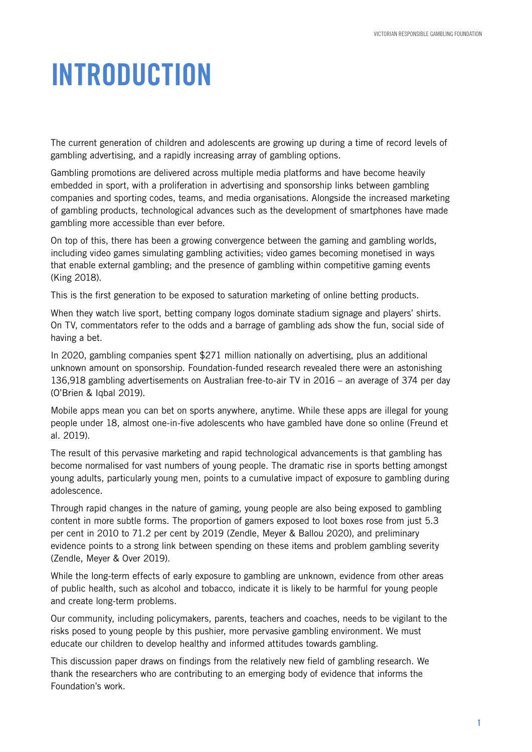# INTRODUCTION

The current generation of children and adolescents are growing up during a time of record levels of gambling advertising, and a rapidly increasing array of gambling options.

Gambling promotions are delivered across multiple media platforms and have become heavily embedded in sport, with a proliferation in advertising and sponsorship links between gambling companies and sporting codes, teams, and media organisations. Alongside the increased marketing of gambling products, technological advances such as the development of smartphones have made gambling more accessible than ever before.

On top of this, there has been a growing convergence between the gaming and gambling worlds, including video games simulating gambling activities; video games becoming monetised in ways that enable external gambling; and the presence of gambling within competitive gaming events (King 2018).

This is the first generation to be exposed to saturation marketing of online betting products.

When they watch live sport, betting company logos dominate stadium signage and players' shirts. On TV, commentators refer to the odds and a barrage of gambling ads show the fun, social side of having a bet.

In 2020, gambling companies spent \$271 million nationally on advertising, plus an additional unknown amount on sponsorship. Foundation-funded research revealed there were an astonishing 136,918 gambling advertisements on Australian free-to-air TV in 2016 – an average of 374 per day (O'Brien & Iqbal 2019).

Mobile apps mean you can bet on sports anywhere, anytime. While these apps are illegal for young people under 18, almost one-in-five adolescents who have gambled have done so online (Freund et al. 2019).

The result of this pervasive marketing and rapid technological advancements is that gambling has become normalised for vast numbers of young people. The dramatic rise in sports betting amongst young adults, particularly young men, points to a cumulative impact of exposure to gambling during adolescence.

Through rapid changes in the nature of gaming, young people are also being exposed to gambling content in more subtle forms. The proportion of gamers exposed to loot boxes rose from just 5.3 per cent in 2010 to 71.2 per cent by 2019 (Zendle, Meyer & Ballou 2020), and preliminary evidence points to a strong link between spending on these items and problem gambling severity (Zendle, Meyer & Over 2019).

While the long-term effects of early exposure to gambling are unknown, evidence from other areas of public health, such as alcohol and tobacco, indicate it is likely to be harmful for young people and create long-term problems.

Our community, including policymakers, parents, teachers and coaches, needs to be vigilant to the risks posed to young people by this pushier, more pervasive gambling environment. We must educate our children to develop healthy and informed attitudes towards gambling.

This discussion paper draws on findings from the relatively new field of gambling research. We thank the researchers who are contributing to an emerging body of evidence that informs the Foundation's work.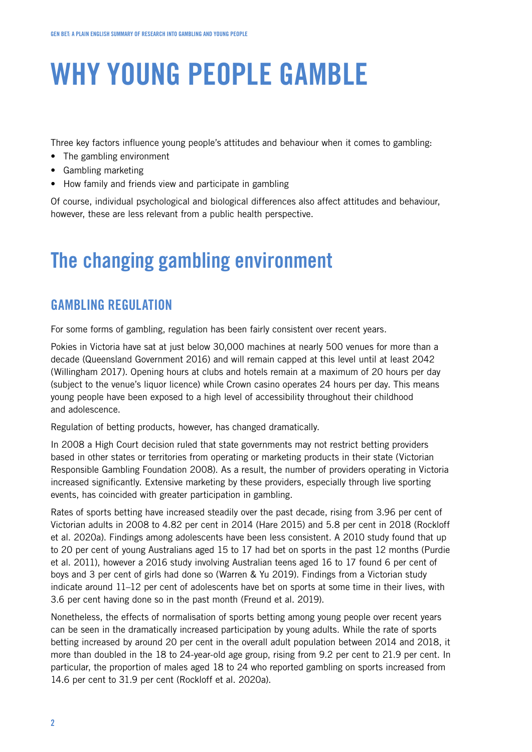Three key factors influence young people's attitudes and behaviour when it comes to gambling:

- The gambling environment
- Gambling marketing
- How family and friends view and participate in gambling

Of course, individual psychological and biological differences also affect attitudes and behaviour, however, these are less relevant from a public health perspective.

## The changing gambling environment

#### GAMBLING REGULATION

For some forms of gambling, regulation has been fairly consistent over recent years.

Pokies in Victoria have sat at just below 30,000 machines at nearly 500 venues for more than a decade (Queensland Government 2016) and will remain capped at this level until at least 2042 (Willingham 2017). Opening hours at clubs and hotels remain at a maximum of 20 hours per day (subject to the venue's liquor licence) while Crown casino operates 24 hours per day. This means young people have been exposed to a high level of accessibility throughout their childhood and adolescence.

Regulation of betting products, however, has changed dramatically.

In 2008 a High Court decision ruled that state governments may not restrict betting providers based in other states or territories from operating or marketing products in their state (Victorian Responsible Gambling Foundation 2008). As a result, the number of providers operating in Victoria increased significantly. Extensive marketing by these providers, especially through live sporting events, has coincided with greater participation in gambling.

Rates of sports betting have increased steadily over the past decade, rising from 3.96 per cent of Victorian adults in 2008 to 4.82 per cent in 2014 (Hare 2015) and 5.8 per cent in 2018 (Rockloff et al. 2020a). Findings among adolescents have been less consistent. A 2010 study found that up to 20 per cent of young Australians aged 15 to 17 had bet on sports in the past 12 months (Purdie et al. 2011), however a 2016 study involving Australian teens aged 16 to 17 found 6 per cent of boys and 3 per cent of girls had done so (Warren & Yu 2019). Findings from a Victorian study indicate around 11–12 per cent of adolescents have bet on sports at some time in their lives, with 3.6 per cent having done so in the past month (Freund et al. 2019).

Nonetheless, the effects of normalisation of sports betting among young people over recent years can be seen in the dramatically increased participation by young adults. While the rate of sports betting increased by around 20 per cent in the overall adult population between 2014 and 2018, it more than doubled in the 18 to 24-year-old age group, rising from 9.2 per cent to 21.9 per cent. In particular, the proportion of males aged 18 to 24 who reported gambling on sports increased from 14.6 per cent to 31.9 per cent (Rockloff et al. 2020a).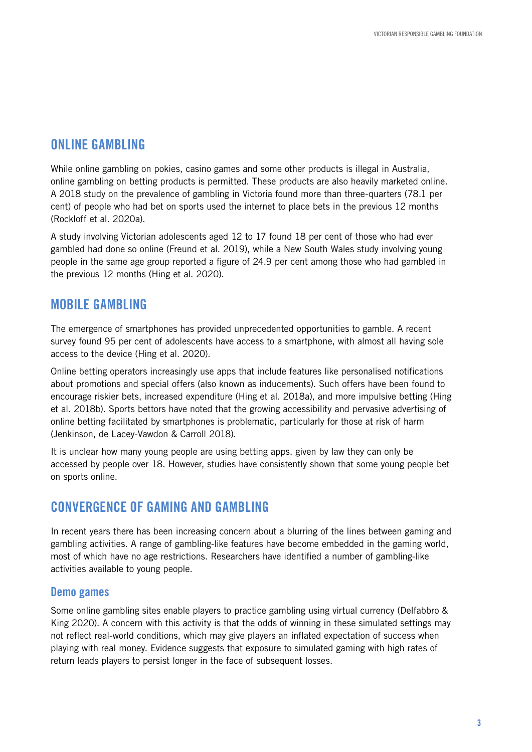#### ONLINE GAMBLING

While online gambling on pokies, casino games and some other products is illegal in Australia, online gambling on betting products is permitted. These products are also heavily marketed online. A 2018 study on the prevalence of gambling in Victoria found more than three-quarters (78.1 per cent) of people who had bet on sports used the internet to place bets in the previous 12 months (Rockloff et al. 2020a).

A study involving Victorian adolescents aged 12 to 17 found 18 per cent of those who had ever gambled had done so online (Freund et al. 2019), while a New South Wales study involving young people in the same age group reported a figure of 24.9 per cent among those who had gambled in the previous 12 months (Hing et al. 2020).

#### MOBILE GAMBLING

The emergence of smartphones has provided unprecedented opportunities to gamble. A recent survey found 95 per cent of adolescents have access to a smartphone, with almost all having sole access to the device (Hing et al. 2020).

Online betting operators increasingly use apps that include features like personalised notifications about promotions and special offers (also known as inducements). Such offers have been found to encourage riskier bets, increased expenditure (Hing et al. 2018a), and more impulsive betting (Hing et al. 2018b). Sports bettors have noted that the growing accessibility and pervasive advertising of online betting facilitated by smartphones is problematic, particularly for those at risk of harm (Jenkinson, de Lacey-Vawdon & Carroll 2018).

It is unclear how many young people are using betting apps, given by law they can only be accessed by people over 18. However, studies have consistently shown that some young people bet on sports online.

#### CONVERGENCE OF GAMING AND GAMBLING

In recent years there has been increasing concern about a blurring of the lines between gaming and gambling activities. A range of gambling-like features have become embedded in the gaming world, most of which have no age restrictions. Researchers have identified a number of gambling-like activities available to young people.

#### Demo games

Some online gambling sites enable players to practice gambling using virtual currency (Delfabbro & King 2020). A concern with this activity is that the odds of winning in these simulated settings may not reflect real-world conditions, which may give players an inflated expectation of success when playing with real money. Evidence suggests that exposure to simulated gaming with high rates of return leads players to persist longer in the face of subsequent losses.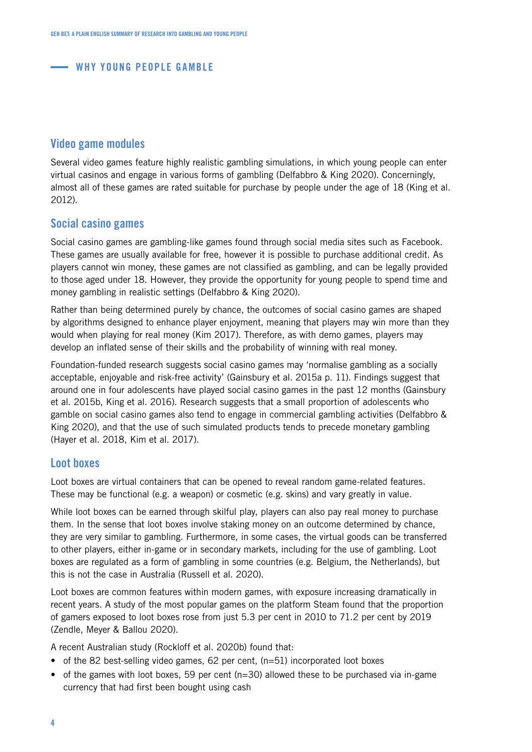#### Video game modules

Several video games feature highly realistic gambling simulations, in which young people can enter virtual casinos and engage in various forms of gambling (Delfabbro & King 2020). Concerningly, almost all of these games are rated suitable for purchase by people under the age of 18 (King et al. 2012).

#### Social casino games

Social casino games are gambling-like games found through social media sites such as Facebook. These games are usually available for free, however it is possible to purchase additional credit. As players cannot win money, these games are not classified as gambling, and can be legally provided to those aged under 18. However, they provide the opportunity for young people to spend time and money gambling in realistic settings (Delfabbro & King 2020).

Rather than being determined purely by chance, the outcomes of social casino games are shaped by algorithms designed to enhance player enjoyment, meaning that players may win more than they would when playing for real money (Kim 2017). Therefore, as with demo games, players may develop an inflated sense of their skills and the probability of winning with real money.

Foundation-funded research suggests social casino games may 'normalise gambling as a socially acceptable, enjoyable and risk-free activity' (Gainsbury et al. 2015a p. 11). Findings suggest that around one in four adolescents have played social casino games in the past 12 months (Gainsbury et al. 2015b, King et al. 2016). Research suggests that a small proportion of adolescents who gamble on social casino games also tend to engage in commercial gambling activities (Delfabbro & King 2020), and that the use of such simulated products tends to precede monetary gambling (Hayer et al. 2018, Kim et al. 2017).

#### Loot boxes

Loot boxes are virtual containers that can be opened to reveal random game-related features. These may be functional (e.g. a weapon) or cosmetic (e.g. skins) and vary greatly in value.

While loot boxes can be earned through skilful play, players can also pay real money to purchase them. In the sense that loot boxes involve staking money on an outcome determined by chance, they are very similar to gambling. Furthermore, in some cases, the virtual goods can be transferred to other players, either in-game or in secondary markets, including for the use of gambling. Loot boxes are regulated as a form of gambling in some countries (e.g. Belgium, the Netherlands), but this is not the case in Australia (Russell et al. 2020).

Loot boxes are common features within modern games, with exposure increasing dramatically in recent years. A study of the most popular games on the platform Steam found that the proportion of gamers exposed to loot boxes rose from just 5.3 per cent in 2010 to 71.2 per cent by 2019 (Zendle, Meyer & Ballou 2020).

A recent Australian study (Rockloff et al. 2020b) found that:

- of the 82 best-selling video games, 62 per cent,  $(n=51)$  incorporated loot boxes
- of the games with loot boxes, 59 per cent ( $n=30$ ) allowed these to be purchased via in-game currency that had first been bought using cash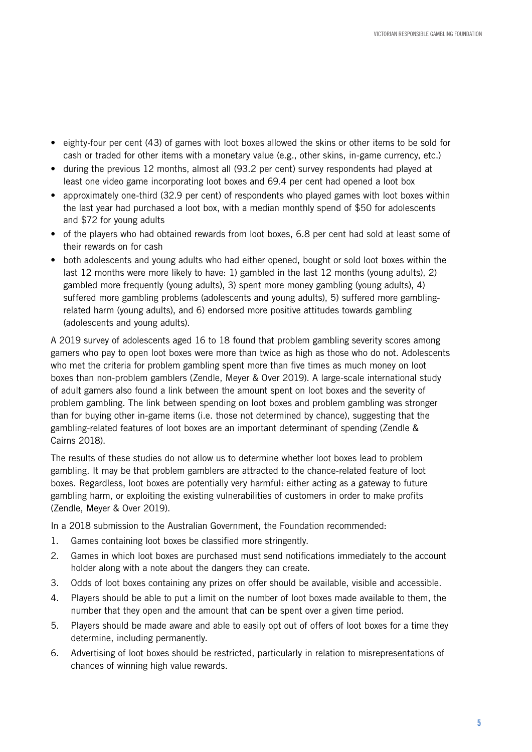- eighty-four per cent (43) of games with loot boxes allowed the skins or other items to be sold for cash or traded for other items with a monetary value (e.g., other skins, in-game currency, etc.)
- during the previous 12 months, almost all (93.2 per cent) survey respondents had played at least one video game incorporating loot boxes and 69.4 per cent had opened a loot box
- approximately one-third (32.9 per cent) of respondents who played games with loot boxes within the last year had purchased a loot box, with a median monthly spend of \$50 for adolescents and \$72 for young adults
- of the players who had obtained rewards from loot boxes, 6.8 per cent had sold at least some of their rewards on for cash
- both adolescents and young adults who had either opened, bought or sold loot boxes within the last 12 months were more likely to have: 1) gambled in the last 12 months (young adults), 2) gambled more frequently (young adults), 3) spent more money gambling (young adults), 4) suffered more gambling problems (adolescents and young adults), 5) suffered more gamblingrelated harm (young adults), and 6) endorsed more positive attitudes towards gambling (adolescents and young adults).

A 2019 survey of adolescents aged 16 to 18 found that problem gambling severity scores among gamers who pay to open loot boxes were more than twice as high as those who do not. Adolescents who met the criteria for problem gambling spent more than five times as much money on loot boxes than non-problem gamblers (Zendle, Meyer & Over 2019). A large-scale international study of adult gamers also found a link between the amount spent on loot boxes and the severity of problem gambling. The link between spending on loot boxes and problem gambling was stronger than for buying other in-game items (i.e. those not determined by chance), suggesting that the gambling-related features of loot boxes are an important determinant of spending (Zendle & Cairns 2018).

The results of these studies do not allow us to determine whether loot boxes lead to problem gambling. It may be that problem gamblers are attracted to the chance-related feature of loot boxes. Regardless, loot boxes are potentially very harmful: either acting as a gateway to future gambling harm, or exploiting the existing vulnerabilities of customers in order to make profits (Zendle, Meyer & Over 2019).

In a 2018 submission to the Australian Government, the Foundation recommended:

- 1. Games containing loot boxes be classified more stringently.
- 2. Games in which loot boxes are purchased must send notifications immediately to the account holder along with a note about the dangers they can create.
- 3. Odds of loot boxes containing any prizes on offer should be available, visible and accessible.
- 4. Players should be able to put a limit on the number of loot boxes made available to them, the number that they open and the amount that can be spent over a given time period.
- 5. Players should be made aware and able to easily opt out of offers of loot boxes for a time they determine, including permanently.
- 6. Advertising of loot boxes should be restricted, particularly in relation to misrepresentations of chances of winning high value rewards.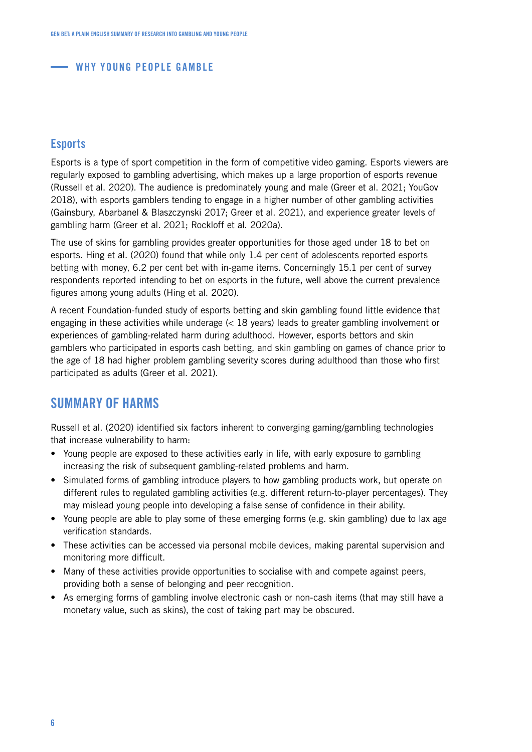#### **Esports**

Esports is a type of sport competition in the form of competitive video gaming. Esports viewers are regularly exposed to gambling advertising, which makes up a large proportion of esports revenue (Russell et al. 2020). The audience is predominately young and male (Greer et al. 2021; YouGov 2018), with esports gamblers tending to engage in a higher number of other gambling activities (Gainsbury, Abarbanel & Blaszczynski 2017; Greer et al. 2021), and experience greater levels of gambling harm (Greer et al. 2021; Rockloff et al. 2020a).

The use of skins for gambling provides greater opportunities for those aged under 18 to bet on esports. Hing et al. (2020) found that while only 1.4 per cent of adolescents reported esports betting with money, 6.2 per cent bet with in-game items. Concerningly 15.1 per cent of survey respondents reported intending to bet on esports in the future, well above the current prevalence figures among young adults (Hing et al. 2020).

A recent Foundation-funded study of esports betting and skin gambling found little evidence that engaging in these activities while underage (< 18 years) leads to greater gambling involvement or experiences of gambling-related harm during adulthood. However, esports bettors and skin gamblers who participated in esports cash betting, and skin gambling on games of chance prior to the age of 18 had higher problem gambling severity scores during adulthood than those who first participated as adults (Greer et al. 2021).

#### SUMMARY OF HARMS

Russell et al. (2020) identified six factors inherent to converging gaming/gambling technologies that increase vulnerability to harm:

- Young people are exposed to these activities early in life, with early exposure to gambling increasing the risk of subsequent gambling-related problems and harm.
- Simulated forms of gambling introduce players to how gambling products work, but operate on different rules to regulated gambling activities (e.g. different return-to-player percentages). They may mislead young people into developing a false sense of confidence in their ability.
- Young people are able to play some of these emerging forms (e.g. skin gambling) due to lax age verification standards.
- These activities can be accessed via personal mobile devices, making parental supervision and monitoring more difficult.
- Many of these activities provide opportunities to socialise with and compete against peers, providing both a sense of belonging and peer recognition.
- As emerging forms of gambling involve electronic cash or non-cash items (that may still have a monetary value, such as skins), the cost of taking part may be obscured.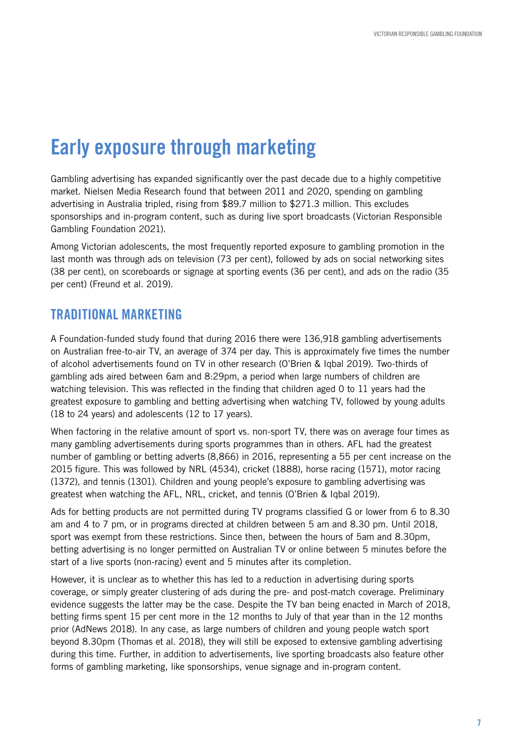## Early exposure through marketing

Gambling advertising has expanded significantly over the past decade due to a highly competitive market. Nielsen Media Research found that between 2011 and 2020, spending on gambling advertising in Australia tripled, rising from \$89.7 million to \$271.3 million. This excludes sponsorships and in-program content, such as during live sport broadcasts (Victorian Responsible Gambling Foundation 2021).

Among Victorian adolescents, the most frequently reported exposure to gambling promotion in the last month was through ads on television (73 per cent), followed by ads on social networking sites (38 per cent), on scoreboards or signage at sporting events (36 per cent), and ads on the radio (35 per cent) (Freund et al. 2019).

#### TRADITIONAL MARKETING

A Foundation-funded study found that during 2016 there were 136,918 gambling advertisements on Australian free-to-air TV, an average of 374 per day. This is approximately five times the number of alcohol advertisements found on TV in other research (O'Brien & Iqbal 2019). Two-thirds of gambling ads aired between 6am and 8:29pm, a period when large numbers of children are watching television. This was reflected in the finding that children aged 0 to 11 years had the greatest exposure to gambling and betting advertising when watching TV, followed by young adults (18 to 24 years) and adolescents (12 to 17 years).

When factoring in the relative amount of sport vs. non-sport TV, there was on average four times as many gambling advertisements during sports programmes than in others. AFL had the greatest number of gambling or betting adverts (8,866) in 2016, representing a 55 per cent increase on the 2015 figure. This was followed by NRL (4534), cricket (1888), horse racing (1571), motor racing (1372), and tennis (1301). Children and young people's exposure to gambling advertising was greatest when watching the AFL, NRL, cricket, and tennis (O'Brien & Iqbal 2019).

Ads for betting products are not permitted during TV programs classified G or lower from 6 to 8.30 am and 4 to 7 pm, or in programs directed at children between 5 am and 8.30 pm. Until 2018, sport was exempt from these restrictions. Since then, between the hours of 5am and 8.30pm, betting advertising is no longer permitted on Australian TV or online between 5 minutes before the start of a live sports (non-racing) event and 5 minutes after its completion.

However, it is unclear as to whether this has led to a reduction in advertising during sports coverage, or simply greater clustering of ads during the pre- and post-match coverage. Preliminary evidence suggests the latter may be the case. Despite the TV ban being enacted in March of 2018, betting firms spent 15 per cent more in the 12 months to July of that year than in the 12 months prior (AdNews 2018). In any case, as large numbers of children and young people watch sport beyond 8.30pm (Thomas et al. 2018), they will still be exposed to extensive gambling advertising during this time. Further, in addition to advertisements, live sporting broadcasts also feature other forms of gambling marketing, like sponsorships, venue signage and in-program content.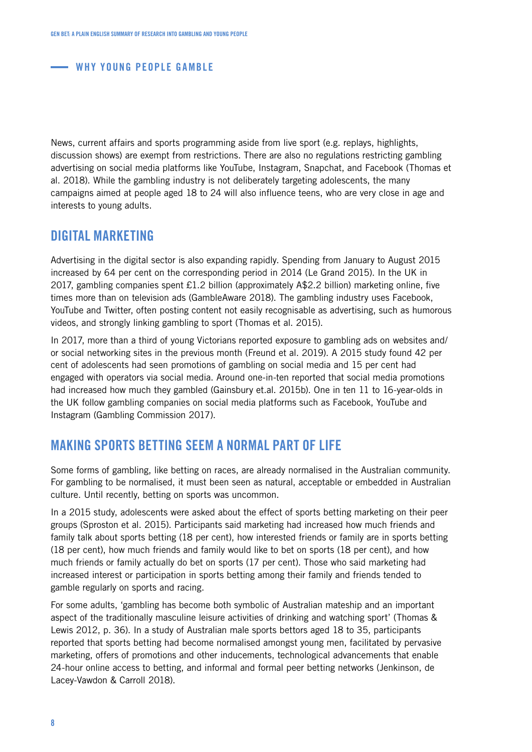News, current affairs and sports programming aside from live sport (e.g. replays, highlights, discussion shows) are exempt from restrictions. There are also no regulations restricting gambling advertising on social media platforms like YouTube, Instagram, Snapchat, and Facebook (Thomas et al. 2018). While the gambling industry is not deliberately targeting adolescents, the many campaigns aimed at people aged 18 to 24 will also influence teens, who are very close in age and interests to young adults.

#### DIGITAL MARKETING

Advertising in the digital sector is also expanding rapidly. Spending from January to August 2015 increased by 64 per cent on the corresponding period in 2014 (Le Grand 2015). In the UK in 2017, gambling companies spent £1.2 billion (approximately A\$2.2 billion) marketing online, five times more than on television ads (GambleAware 2018). The gambling industry uses Facebook, YouTube and Twitter, often posting content not easily recognisable as advertising, such as humorous videos, and strongly linking gambling to sport (Thomas et al. 2015).

In 2017, more than a third of young Victorians reported exposure to gambling ads on websites and/ or social networking sites in the previous month (Freund et al. 2019). A 2015 study found 42 per cent of adolescents had seen promotions of gambling on social media and 15 per cent had engaged with operators via social media. Around one-in-ten reported that social media promotions had increased how much they gambled (Gainsbury et.al. 2015b). One in ten 11 to 16-year-olds in the UK follow gambling companies on social media platforms such as Facebook, YouTube and Instagram (Gambling Commission 2017).

#### MAKING SPORTS BETTING SEEM A NORMAL PART OF LIFE

Some forms of gambling, like betting on races, are already normalised in the Australian community. For gambling to be normalised, it must been seen as natural, acceptable or embedded in Australian culture. Until recently, betting on sports was uncommon.

In a 2015 study, adolescents were asked about the effect of sports betting marketing on their peer groups (Sproston et al. 2015). Participants said marketing had increased how much friends and family talk about sports betting (18 per cent), how interested friends or family are in sports betting (18 per cent), how much friends and family would like to bet on sports (18 per cent), and how much friends or family actually do bet on sports (17 per cent). Those who said marketing had increased interest or participation in sports betting among their family and friends tended to gamble regularly on sports and racing.

For some adults, 'gambling has become both symbolic of Australian mateship and an important aspect of the traditionally masculine leisure activities of drinking and watching sport' (Thomas & Lewis 2012, p. 36). In a study of Australian male sports bettors aged 18 to 35, participants reported that sports betting had become normalised amongst young men, facilitated by pervasive marketing, offers of promotions and other inducements, technological advancements that enable 24-hour online access to betting, and informal and formal peer betting networks (Jenkinson, de Lacey-Vawdon & Carroll 2018).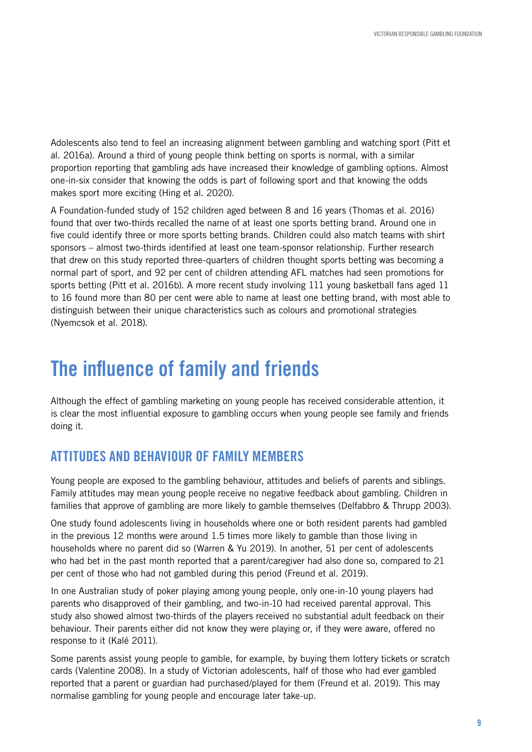Adolescents also tend to feel an increasing alignment between gambling and watching sport (Pitt et al. 2016a). Around a third of young people think betting on sports is normal, with a similar proportion reporting that gambling ads have increased their knowledge of gambling options. Almost one-in-six consider that knowing the odds is part of following sport and that knowing the odds makes sport more exciting (Hing et al. 2020).

A Foundation-funded study of 152 children aged between 8 and 16 years (Thomas et al. 2016) found that over two-thirds recalled the name of at least one sports betting brand. Around one in five could identify three or more sports betting brands. Children could also match teams with shirt sponsors – almost two-thirds identified at least one team-sponsor relationship. Further research that drew on this study reported three-quarters of children thought sports betting was becoming a normal part of sport, and 92 per cent of children attending AFL matches had seen promotions for sports betting (Pitt et al. 2016b). A more recent study involving 111 young basketball fans aged 11 to 16 found more than 80 per cent were able to name at least one betting brand, with most able to distinguish between their unique characteristics such as colours and promotional strategies (Nyemcsok et al. 2018).

## The influence of family and friends

Although the effect of gambling marketing on young people has received considerable attention, it is clear the most influential exposure to gambling occurs when young people see family and friends doing it.

#### ATTITUDES AND BEHAVIOUR OF FAMILY MEMBERS

Young people are exposed to the gambling behaviour, attitudes and beliefs of parents and siblings. Family attitudes may mean young people receive no negative feedback about gambling. Children in families that approve of gambling are more likely to gamble themselves (Delfabbro & Thrupp 2003).

One study found adolescents living in households where one or both resident parents had gambled in the previous 12 months were around 1.5 times more likely to gamble than those living in households where no parent did so (Warren & Yu 2019). In another, 51 per cent of adolescents who had bet in the past month reported that a parent/caregiver had also done so, compared to 21 per cent of those who had not gambled during this period (Freund et al. 2019).

In one Australian study of poker playing among young people, only one-in-10 young players had parents who disapproved of their gambling, and two-in-10 had received parental approval. This study also showed almost two-thirds of the players received no substantial adult feedback on their behaviour. Their parents either did not know they were playing or, if they were aware, offered no response to it (Kalé 2011).

Some parents assist young people to gamble, for example, by buying them lottery tickets or scratch cards (Valentine 2008). In a study of Victorian adolescents, half of those who had ever gambled reported that a parent or guardian had purchased/played for them (Freund et al. 2019). This may normalise gambling for young people and encourage later take-up.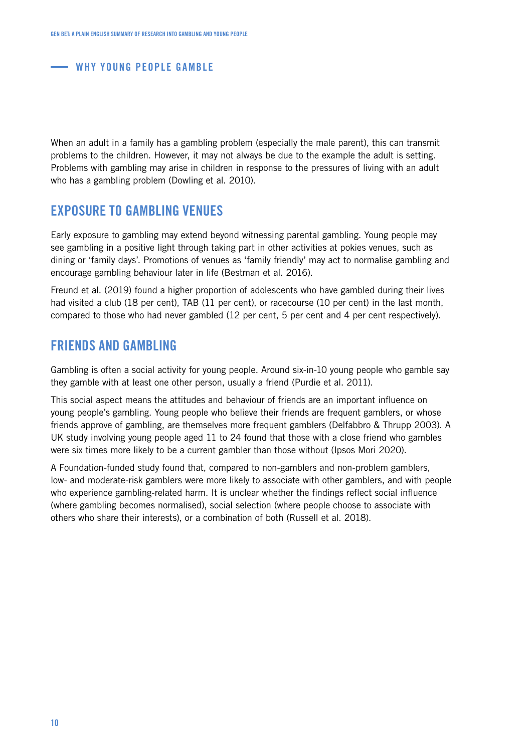When an adult in a family has a gambling problem (especially the male parent), this can transmit problems to the children. However, it may not always be due to the example the adult is setting. Problems with gambling may arise in children in response to the pressures of living with an adult who has a gambling problem (Dowling et al. 2010).

#### EXPOSURE TO GAMBLING VENUES

Early exposure to gambling may extend beyond witnessing parental gambling. Young people may see gambling in a positive light through taking part in other activities at pokies venues, such as dining or 'family days'. Promotions of venues as 'family friendly' may act to normalise gambling and encourage gambling behaviour later in life (Bestman et al. 2016).

Freund et al. (2019) found a higher proportion of adolescents who have gambled during their lives had visited a club (18 per cent), TAB (11 per cent), or racecourse (10 per cent) in the last month, compared to those who had never gambled (12 per cent, 5 per cent and 4 per cent respectively).

#### FRIENDS AND GAMBLING

Gambling is often a social activity for young people. Around six-in-10 young people who gamble say they gamble with at least one other person, usually a friend (Purdie et al. 2011).

This social aspect means the attitudes and behaviour of friends are an important influence on young people's gambling. Young people who believe their friends are frequent gamblers, or whose friends approve of gambling, are themselves more frequent gamblers (Delfabbro & Thrupp 2003). A UK study involving young people aged 11 to 24 found that those with a close friend who gambles were six times more likely to be a current gambler than those without (Ipsos Mori 2020).

A Foundation-funded study found that, compared to non-gamblers and non-problem gamblers, low- and moderate-risk gamblers were more likely to associate with other gamblers, and with people who experience gambling-related harm. It is unclear whether the findings reflect social influence (where gambling becomes normalised), social selection (where people choose to associate with others who share their interests), or a combination of both (Russell et al. 2018).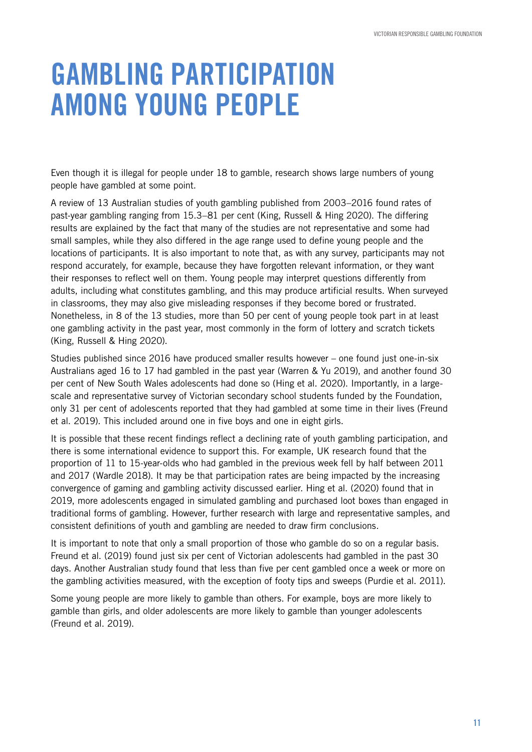# GAMBLING PARTICIPATION AMONG YOUNG PEOPLE

Even though it is illegal for people under 18 to gamble, research shows large numbers of young people have gambled at some point.

A review of 13 Australian studies of youth gambling published from 2003–2016 found rates of past-year gambling ranging from 15.3–81 per cent (King, Russell & Hing 2020). The differing results are explained by the fact that many of the studies are not representative and some had small samples, while they also differed in the age range used to define young people and the locations of participants. It is also important to note that, as with any survey, participants may not respond accurately, for example, because they have forgotten relevant information, or they want their responses to reflect well on them. Young people may interpret questions differently from adults, including what constitutes gambling, and this may produce artificial results. When surveyed in classrooms, they may also give misleading responses if they become bored or frustrated. Nonetheless, in 8 of the 13 studies, more than 50 per cent of young people took part in at least one gambling activity in the past year, most commonly in the form of lottery and scratch tickets (King, Russell & Hing 2020).

Studies published since 2016 have produced smaller results however – one found just one-in-six Australians aged 16 to 17 had gambled in the past year (Warren & Yu 2019), and another found 30 per cent of New South Wales adolescents had done so (Hing et al. 2020). Importantly, in a largescale and representative survey of Victorian secondary school students funded by the Foundation, only 31 per cent of adolescents reported that they had gambled at some time in their lives (Freund et al. 2019). This included around one in five boys and one in eight girls.

It is possible that these recent findings reflect a declining rate of youth gambling participation, and there is some international evidence to support this. For example, UK research found that the proportion of 11 to 15-year-olds who had gambled in the previous week fell by half between 2011 and 2017 (Wardle 2018). It may be that participation rates are being impacted by the increasing convergence of gaming and gambling activity discussed earlier. Hing et al. (2020) found that in 2019, more adolescents engaged in simulated gambling and purchased loot boxes than engaged in traditional forms of gambling. However, further research with large and representative samples, and consistent definitions of youth and gambling are needed to draw firm conclusions.

It is important to note that only a small proportion of those who gamble do so on a regular basis. Freund et al. (2019) found just six per cent of Victorian adolescents had gambled in the past 30 days. Another Australian study found that less than five per cent gambled once a week or more on the gambling activities measured, with the exception of footy tips and sweeps (Purdie et al. 2011).

Some young people are more likely to gamble than others. For example, boys are more likely to gamble than girls, and older adolescents are more likely to gamble than younger adolescents (Freund et al. 2019).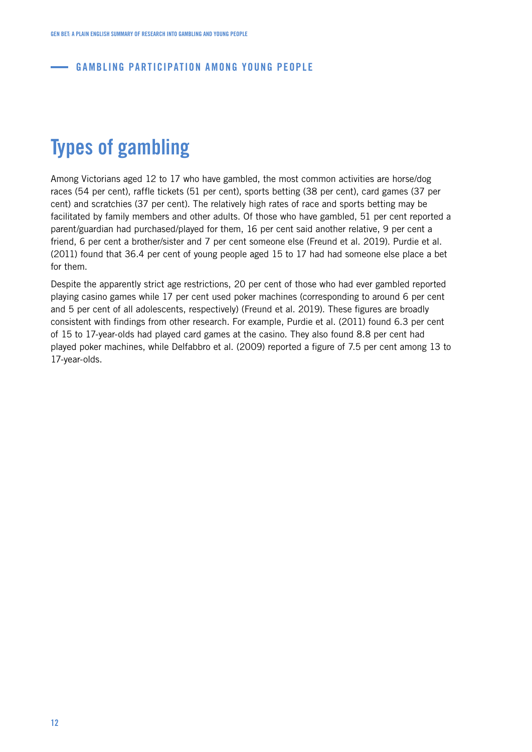#### **GAMBLING PARTICIPATION AMONG YOUNG PEOPLE**

## Types of gambling

Among Victorians aged 12 to 17 who have gambled, the most common activities are horse/dog races (54 per cent), raffle tickets (51 per cent), sports betting (38 per cent), card games (37 per cent) and scratchies (37 per cent). The relatively high rates of race and sports betting may be facilitated by family members and other adults. Of those who have gambled, 51 per cent reported a parent/guardian had purchased/played for them, 16 per cent said another relative, 9 per cent a friend, 6 per cent a brother/sister and 7 per cent someone else (Freund et al. 2019). Purdie et al. (2011) found that 36.4 per cent of young people aged 15 to 17 had had someone else place a bet for them.

Despite the apparently strict age restrictions, 20 per cent of those who had ever gambled reported playing casino games while 17 per cent used poker machines (corresponding to around 6 per cent and 5 per cent of all adolescents, respectively) (Freund et al. 2019). These figures are broadly consistent with findings from other research. For example, Purdie et al. (2011) found 6.3 per cent of 15 to 17-year-olds had played card games at the casino. They also found 8.8 per cent had played poker machines, while Delfabbro et al. (2009) reported a figure of 7.5 per cent among 13 to 17-year-olds.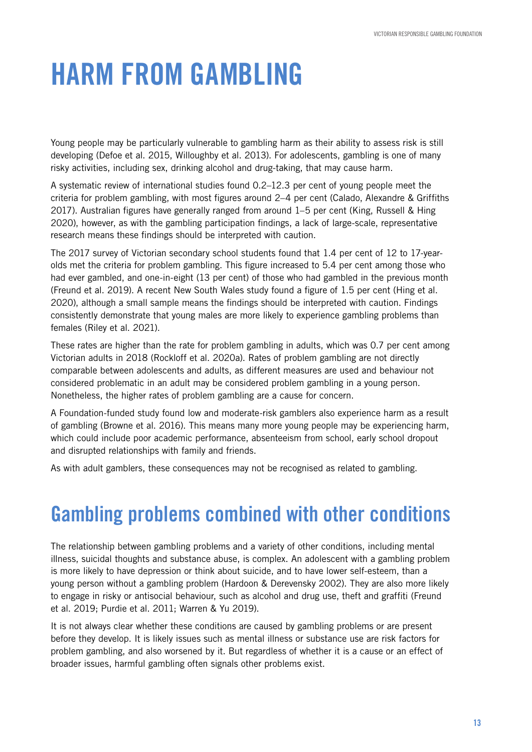# HARM FROM GAMBLING

Young people may be particularly vulnerable to gambling harm as their ability to assess risk is still developing (Defoe et al. 2015, Willoughby et al. 2013). For adolescents, gambling is one of many risky activities, including sex, drinking alcohol and drug-taking, that may cause harm.

A systematic review of international studies found 0.2–12.3 per cent of young people meet the criteria for problem gambling, with most figures around 2–4 per cent (Calado, Alexandre & Griffiths 2017). Australian figures have generally ranged from around 1–5 per cent (King, Russell & Hing 2020), however, as with the gambling participation findings, a lack of large-scale, representative research means these findings should be interpreted with caution.

The 2017 survey of Victorian secondary school students found that 1.4 per cent of 12 to 17-yearolds met the criteria for problem gambling. This figure increased to 5.4 per cent among those who had ever gambled, and one-in-eight (13 per cent) of those who had gambled in the previous month (Freund et al. 2019). A recent New South Wales study found a figure of 1.5 per cent (Hing et al. 2020), although a small sample means the findings should be interpreted with caution. Findings consistently demonstrate that young males are more likely to experience gambling problems than females (Riley et al. 2021).

These rates are higher than the rate for problem gambling in adults, which was 0.7 per cent among Victorian adults in 2018 (Rockloff et al. 2020a). Rates of problem gambling are not directly comparable between adolescents and adults, as different measures are used and behaviour not considered problematic in an adult may be considered problem gambling in a young person. Nonetheless, the higher rates of problem gambling are a cause for concern.

A Foundation-funded study found low and moderate-risk gamblers also experience harm as a result of gambling (Browne et al. 2016). This means many more young people may be experiencing harm, which could include poor academic performance, absenteeism from school, early school dropout and disrupted relationships with family and friends.

As with adult gamblers, these consequences may not be recognised as related to gambling.

## Gambling problems combined with other conditions

The relationship between gambling problems and a variety of other conditions, including mental illness, suicidal thoughts and substance abuse, is complex. An adolescent with a gambling problem is more likely to have depression or think about suicide, and to have lower self-esteem, than a young person without a gambling problem (Hardoon & Derevensky 2002). They are also more likely to engage in risky or antisocial behaviour, such as alcohol and drug use, theft and graffiti (Freund et al. 2019; Purdie et al. 2011; Warren & Yu 2019).

It is not always clear whether these conditions are caused by gambling problems or are present before they develop. It is likely issues such as mental illness or substance use are risk factors for problem gambling, and also worsened by it. But regardless of whether it is a cause or an effect of broader issues, harmful gambling often signals other problems exist.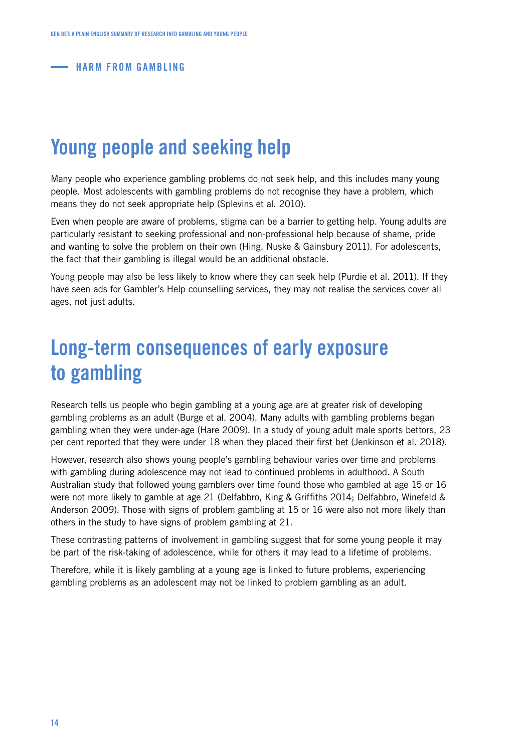**HARM FROM GAMBLING** 

## Young people and seeking help

Many people who experience gambling problems do not seek help, and this includes many young people. Most adolescents with gambling problems do not recognise they have a problem, which means they do not seek appropriate help (Splevins et al. 2010).

Even when people are aware of problems, stigma can be a barrier to getting help. Young adults are particularly resistant to seeking professional and non-professional help because of shame, pride and wanting to solve the problem on their own (Hing, Nuske & Gainsbury 2011). For adolescents, the fact that their gambling is illegal would be an additional obstacle.

Young people may also be less likely to know where they can seek help (Purdie et al. 2011). If they have seen ads for Gambler's Help counselling services, they may not realise the services cover all ages, not just adults.

## Long-term consequences of early exposure to gambling

Research tells us people who begin gambling at a young age are at greater risk of developing gambling problems as an adult (Burge et al. 2004). Many adults with gambling problems began gambling when they were under-age (Hare 2009). In a study of young adult male sports bettors, 23 per cent reported that they were under 18 when they placed their first bet (Jenkinson et al. 2018).

However, research also shows young people's gambling behaviour varies over time and problems with gambling during adolescence may not lead to continued problems in adulthood. A South Australian study that followed young gamblers over time found those who gambled at age 15 or 16 were not more likely to gamble at age 21 (Delfabbro, King & Griffiths 2014; Delfabbro, Winefeld & Anderson 2009). Those with signs of problem gambling at 15 or 16 were also not more likely than others in the study to have signs of problem gambling at 21.

These contrasting patterns of involvement in gambling suggest that for some young people it may be part of the risk-taking of adolescence, while for others it may lead to a lifetime of problems.

Therefore, while it is likely gambling at a young age is linked to future problems, experiencing gambling problems as an adolescent may not be linked to problem gambling as an adult.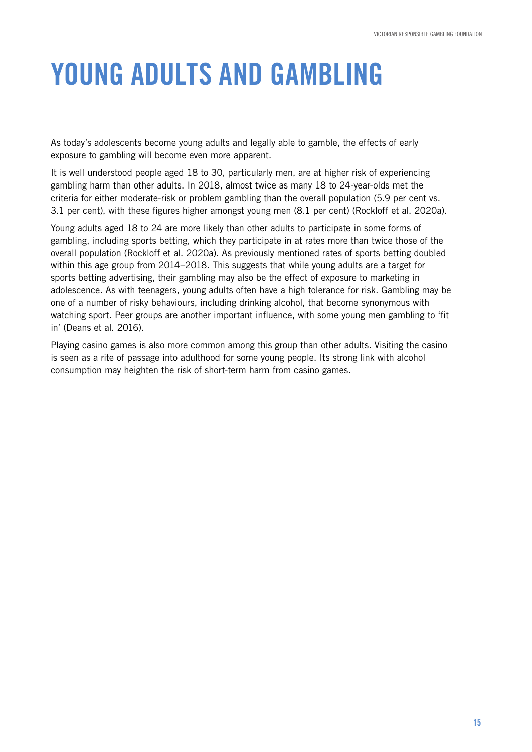# YOUNG ADULTS AND GAMBLING

As today's adolescents become young adults and legally able to gamble, the effects of early exposure to gambling will become even more apparent.

It is well understood people aged 18 to 30, particularly men, are at higher risk of experiencing gambling harm than other adults. In 2018, almost twice as many 18 to 24-year-olds met the criteria for either moderate-risk or problem gambling than the overall population (5.9 per cent vs. 3.1 per cent), with these figures higher amongst young men (8.1 per cent) (Rockloff et al. 2020a).

Young adults aged 18 to 24 are more likely than other adults to participate in some forms of gambling, including sports betting, which they participate in at rates more than twice those of the overall population (Rockloff et al. 2020a). As previously mentioned rates of sports betting doubled within this age group from 2014–2018. This suggests that while young adults are a target for sports betting advertising, their gambling may also be the effect of exposure to marketing in adolescence. As with teenagers, young adults often have a high tolerance for risk. Gambling may be one of a number of risky behaviours, including drinking alcohol, that become synonymous with watching sport. Peer groups are another important influence, with some young men gambling to 'fit in' (Deans et al. 2016).

Playing casino games is also more common among this group than other adults. Visiting the casino is seen as a rite of passage into adulthood for some young people. Its strong link with alcohol consumption may heighten the risk of short-term harm from casino games.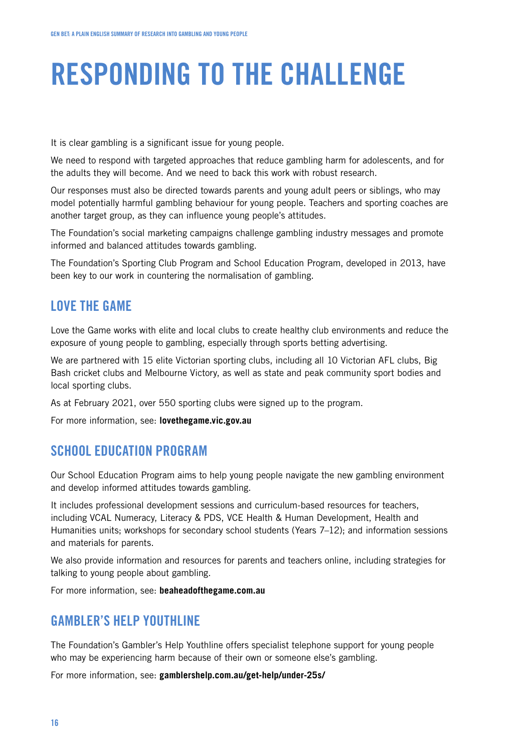# RESPONDING TO THE CHALLENGE

It is clear gambling is a significant issue for young people.

We need to respond with targeted approaches that reduce gambling harm for adolescents, and for the adults they will become. And we need to back this work with robust research.

Our responses must also be directed towards parents and young adult peers or siblings, who may model potentially harmful gambling behaviour for young people. Teachers and sporting coaches are another target group, as they can influence young people's attitudes.

The Foundation's social marketing campaigns challenge gambling industry messages and promote informed and balanced attitudes towards gambling.

The Foundation's Sporting Club Program and School Education Program, developed in 2013, have been key to our work in countering the normalisation of gambling.

#### LOVE THE GAME

Love the Game works with elite and local clubs to create healthy club environments and reduce the exposure of young people to gambling, especially through sports betting advertising.

We are partnered with 15 elite Victorian sporting clubs, including all 10 Victorian AFL clubs, Big Bash cricket clubs and Melbourne Victory, as well as state and peak community sport bodies and local sporting clubs.

As at February 2021, over 550 sporting clubs were signed up to the program.

For more information, see: **lovethegame.vic.gov.au**

#### SCHOOL EDUCATION PROGRAM

Our School Education Program aims to help young people navigate the new gambling environment and develop informed attitudes towards gambling.

It includes professional development sessions and curriculum-based resources for teachers, including VCAL Numeracy, Literacy & PDS, VCE Health & Human Development, Health and Humanities units; workshops for secondary school students (Years 7-12); and information sessions and materials for parents.

We also provide information and resources for parents and teachers online, including strategies for talking to young people about gambling.

For more information, see: **beaheadofthegame.com.au**

#### **GAMBLER'S HELP YOUTHLINE**

The Foundation's Gambler's Help Youthline offers specialist telephone support for young people who may be experiencing harm because of their own or someone else's gambling.

For more information, see: **gamblershelp.com.au/get-help/under-25s/**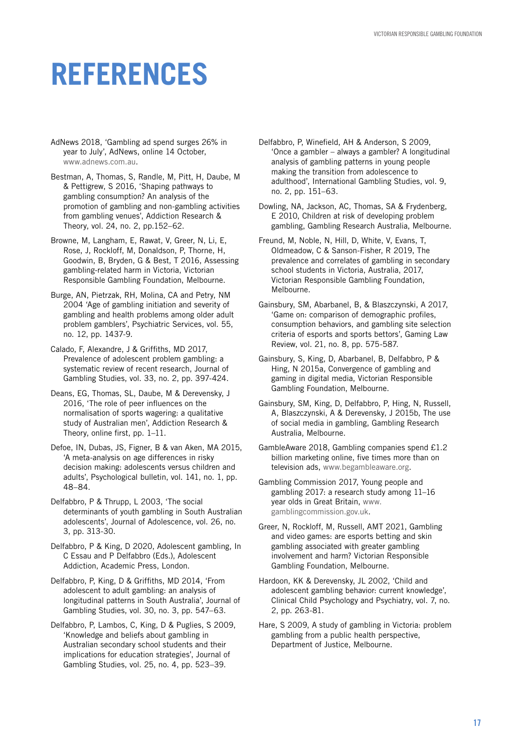# **REFERENCES**

- AdNews 2018, 'Gambling ad spend surges 26% in year to July', AdNews, online 14 October, [www.adnews.com.au.](http://www.adnews.com.au)
- Bestman, A, Thomas, S, Randle, M, Pitt, H, Daube, M & Pettigrew, S 2016, 'Shaping pathways to gambling consumption? An analysis of the promotion of gambling and non-gambling activities from gambling venues', Addiction Research & Theory, vol. 24, no. 2, pp.152–62.
- Browne, M, Langham, E, Rawat, V, Greer, N, Li, E, Rose, J, Rockloff, M, Donaldson, P, Thorne, H, Goodwin, B, Bryden, G & Best, T 2016, Assessing gambling-related harm in Victoria, Victorian Responsible Gambling Foundation, Melbourne.
- Burge, AN, Pietrzak, RH, Molina, CA and Petry, NM 2004 'Age of gambling initiation and severity of gambling and health problems among older adult problem gamblers', Psychiatric Services, vol. 55, no. 12, pp. 1437-9.
- Calado, F, Alexandre, J & Griffiths, MD 2017, Prevalence of adolescent problem gambling: a systematic review of recent research, Journal of Gambling Studies, vol. 33, no. 2, pp. 397-424.
- Deans, EG, Thomas, SL, Daube, M & Derevensky, J 2016, 'The role of peer influences on the normalisation of sports wagering: a qualitative study of Australian men', Addiction Research & Theory, online first, pp. 1–11.
- Defoe, IN, Dubas, JS, Figner, B & van Aken, MA 2015, 'A meta-analysis on age differences in risky decision making: adolescents versus children and adults', Psychological bulletin, vol. 141, no. 1, pp. 48–84.
- Delfabbro, P & Thrupp, L 2003, 'The social determinants of youth gambling in South Australian adolescents', Journal of Adolescence, vol. 26, no. 3, pp. 313-30.
- Delfabbro, P & King, D 2020, Adolescent gambling, In C Essau and P Delfabbro (Eds.), Adolescent Addiction, Academic Press, London.
- Delfabbro, P, King, D & Griffiths, MD 2014, 'From adolescent to adult gambling: an analysis of longitudinal patterns in South Australia', Journal of Gambling Studies, vol. 30, no. 3, pp. 547–63.
- Delfabbro, P, Lambos, C, King, D & Puglies, S 2009, 'Knowledge and beliefs about gambling in Australian secondary school students and their implications for education strategies', Journal of Gambling Studies, vol. 25, no. 4, pp. 523–39.
- Delfabbro, P, Winefield, AH & Anderson, S 2009, 'Once a gambler – always a gambler? A longitudinal analysis of gambling patterns in young people making the transition from adolescence to adulthood', International Gambling Studies, vol. 9, no. 2, pp. 151–63.
- Dowling, NA, Jackson, AC, Thomas, SA & Frydenberg, E 2010, Children at risk of developing problem gambling, Gambling Research Australia, Melbourne.
- Freund, M, Noble, N, Hill, D, White, V, Evans, T, Oldmeadow, C & Sanson-Fisher, R 2019, The prevalence and correlates of gambling in secondary school students in Victoria, Australia, 2017, Victorian Responsible Gambling Foundation, Melbourne.
- Gainsbury, SM, Abarbanel, B, & Blaszczynski, A 2017, 'Game on: comparison of demographic profiles, consumption behaviors, and gambling site selection criteria of esports and sports bettors', Gaming Law Review, vol. 21, no. 8, pp. 575-587.
- Gainsbury, S, King, D, Abarbanel, B, Delfabbro, P & Hing, N 2015a, Convergence of gambling and gaming in digital media, Victorian Responsible Gambling Foundation, Melbourne.
- Gainsbury, SM, King, D, Delfabbro, P, Hing, N, Russell, A, Blaszczynski, A & Derevensky, J 2015b, The use of social media in gambling, Gambling Research Australia, Melbourne.
- GambleAware 2018, Gambling companies spend £1.2 billion marketing online, five times more than on television ads, [www.begambleaware.org.](http://www.begambleaware.org)
- Gambling Commission 2017, Young people and gambling 2017: a research study among 11–16 year olds in Great Britain, [www.](http://www.gamblingcommission.gov.uk) [gamblingcommission.gov.uk](http://www.gamblingcommission.gov.uk).
- Greer, N, Rockloff, M, Russell, AMT 2021, Gambling and video games: are esports betting and skin gambling associated with greater gambling involvement and harm? Victorian Responsible Gambling Foundation, Melbourne.
- Hardoon, KK & Derevensky, JL 2002, 'Child and adolescent gambling behavior: current knowledge', Clinical Child Psychology and Psychiatry, vol. 7, no. 2, pp. 263-81.
- Hare, S 2009, A study of gambling in Victoria: problem gambling from a public health perspective, Department of Justice, Melbourne.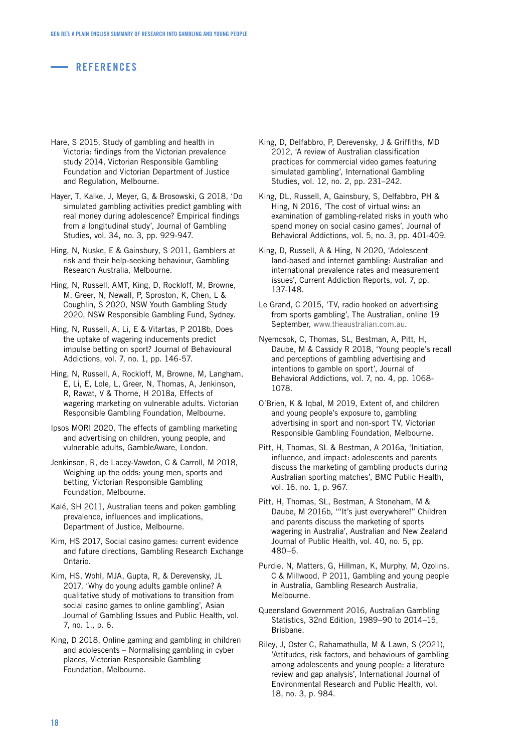#### **REFERENCES**

- Hare, S 2015, Study of gambling and health in Victoria: findings from the Victorian prevalence study 2014, Victorian Responsible Gambling Foundation and Victorian Department of Justice and Regulation, Melbourne.
- Hayer, T, Kalke, J, Meyer, G, & Brosowski, G 2018, 'Do simulated gambling activities predict gambling with real money during adolescence? Empirical findings from a longitudinal study', Journal of Gambling Studies, vol. 34, no. 3, pp. 929-947.
- Hing, N, Nuske, E & Gainsbury, S 2011, Gamblers at risk and their help-seeking behaviour, Gambling Research Australia, Melbourne.
- Hing, N, Russell, AMT, King, D, Rockloff, M, Browne, M, Greer, N, Newall, P, Sproston, K, Chen, L & Coughlin, S 2020, NSW Youth Gambling Study 2020, NSW Responsible Gambling Fund, Sydney.
- Hing, N, Russell, A, Li, E & Vitartas, P 2018b, Does the uptake of wagering inducements predict impulse betting on sport? Journal of Behavioural Addictions, vol. 7, no. 1, pp. 146-57.
- Hing, N, Russell, A, Rockloff, M, Browne, M, Langham, E, Li, E, Lole, L, Greer, N, Thomas, A, Jenkinson, R, Rawat, V & Thorne, H 2018a, Effects of wagering marketing on vulnerable adults. Victorian Responsible Gambling Foundation, Melbourne.
- Ipsos MORI 2020, The effects of gambling marketing and advertising on children, young people, and vulnerable adults, GambleAware, London.
- Jenkinson, R, de Lacey-Vawdon, C & Carroll, M 2018, Weighing up the odds: young men, sports and betting, Victorian Responsible Gambling Foundation, Melbourne.
- Kalé, SH 2011, Australian teens and poker: gambling prevalence, influences and implications, Department of Justice, Melbourne.
- Kim, HS 2017, Social casino games: current evidence and future directions, Gambling Research Exchange Ontario.
- Kim, HS, Wohl, MJA, Gupta, R, & Derevensky, JL 2017, 'Why do young adults gamble online? A qualitative study of motivations to transition from social casino games to online gambling', Asian Journal of Gambling Issues and Public Health, vol. 7, no. 1., p. 6.
- King, D 2018, Online gaming and gambling in children and adolescents – Normalising gambling in cyber places, Victorian Responsible Gambling Foundation, Melbourne.
- King, D, Delfabbro, P, Derevensky, J & Griffiths, MD 2012, 'A review of Australian classification practices for commercial video games featuring simulated gambling', International Gambling Studies, vol. 12, no. 2, pp. 231–242.
- King, DL, Russell, A, Gainsbury, S, Delfabbro, PH & Hing, N 2016, 'The cost of virtual wins: an examination of gambling-related risks in youth who spend money on social casino games', Journal of Behavioral Addictions, vol. 5, no. 3, pp. 401-409.
- King, D, Russell, A & Hing, N 2020, 'Adolescent land-based and internet gambling: Australian and international prevalence rates and measurement issues', Current Addiction Reports, vol. 7, pp. 137-148.
- Le Grand, C 2015, 'TV, radio hooked on advertising from sports gambling', The Australian, online 19 September, [www.theaustralian.com.au](http://www.theaustralian.com.au).
- Nyemcsok, C, Thomas, SL, Bestman, A, Pitt, H, Daube, M & Cassidy R 2018, 'Young people's recall and perceptions of gambling advertising and intentions to gamble on sport', Journal of Behavioral Addictions, vol. 7, no. 4, pp. 1068- 1078.
- O'Brien, K & Iqbal, M 2019, Extent of, and children and young people's exposure to, gambling advertising in sport and non-sport TV, Victorian Responsible Gambling Foundation, Melbourne.
- Pitt, H, Thomas, SL & Bestman, A 2016a, 'Initiation, influence, and impact: adolescents and parents discuss the marketing of gambling products during Australian sporting matches', BMC Public Health, vol. 16, no. 1, p. 967.
- Pitt, H, Thomas, SL, Bestman, A Stoneham, M & Daube, M 2016b, '"It's just everywhere!" Children and parents discuss the marketing of sports wagering in Australia', Australian and New Zealand Journal of Public Health, vol. 40, no. 5, pp. 480–6.
- Purdie, N, Matters, G, Hillman, K, Murphy, M, Ozolins, C & Millwood, P 2011, Gambling and young people in Australia, Gambling Research Australia, Melbourne.
- Queensland Government 2016, Australian Gambling Statistics, 32nd Edition, 1989–90 to 2014–15, Brisbane.
- Riley, J, Oster C, Rahamathulla, M & Lawn, S (2021), 'Attitudes, risk factors, and behaviours of gambling among adolescents and young people: a literature review and gap analysis', International Journal of Environmental Research and Public Health, vol. 18, no. 3, p. 984.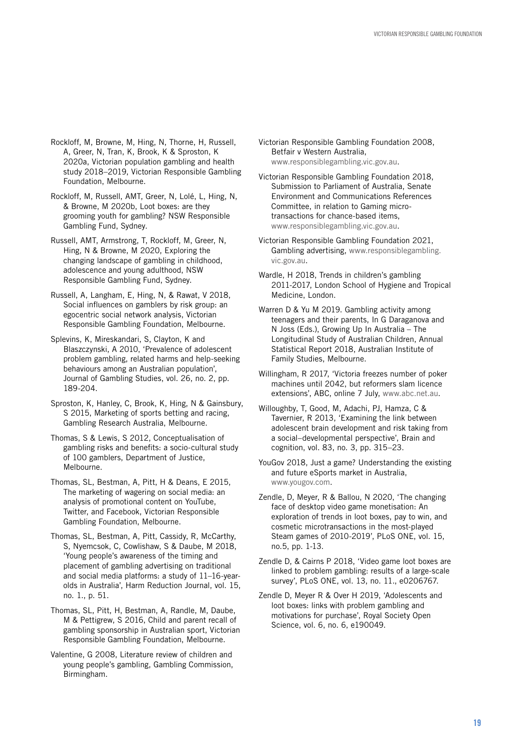- Rockloff, M, Browne, M, Hing, N, Thorne, H, Russell, A, Greer, N, Tran, K, Brook, K & Sproston, K 2020a, Victorian population gambling and health study 2018–2019, Victorian Responsible Gambling Foundation, Melbourne.
- Rockloff, M, Russell, AMT, Greer, N, Lolé, L, Hing, N, & Browne, M 2020b, Loot boxes: are they grooming youth for gambling? NSW Responsible Gambling Fund, Sydney.
- Russell, AMT, Armstrong, T, Rockloff, M, Greer, N, Hing, N & Browne, M 2020, Exploring the changing landscape of gambling in childhood, adolescence and young adulthood, NSW Responsible Gambling Fund, Sydney.
- Russell, A, Langham, E, Hing, N, & Rawat, V 2018, Social influences on gamblers by risk group: an egocentric social network analysis, Victorian Responsible Gambling Foundation, Melbourne.
- Splevins, K, Mireskandari, S, Clayton, K and Blaszczynski, A 2010, 'Prevalence of adolescent problem gambling, related harms and help-seeking behaviours among an Australian population', Journal of Gambling Studies, vol. 26, no. 2, pp. 189-204.
- Sproston, K, Hanley, C, Brook, K, Hing, N & Gainsbury, S 2015, Marketing of sports betting and racing, Gambling Research Australia, Melbourne.
- Thomas, S & Lewis, S 2012, Conceptualisation of gambling risks and benefits: a socio-cultural study of 100 gamblers, Department of Justice, Melbourne.
- Thomas, SL, Bestman, A, Pitt, H & Deans, E 2015, The marketing of wagering on social media: an analysis of promotional content on YouTube, Twitter, and Facebook, Victorian Responsible Gambling Foundation, Melbourne.
- Thomas, SL, Bestman, A, Pitt, Cassidy, R, McCarthy, S, Nyemcsok, C, Cowlishaw, S & Daube, M 2018, 'Young people's awareness of the timing and placement of gambling advertising on traditional and social media platforms: a study of 11–16-yearolds in Australia', Harm Reduction Journal, vol. 15, no. 1., p. 51.
- Thomas, SL, Pitt, H, Bestman, A, Randle, M, Daube, M & Pettigrew, S 2016, Child and parent recall of gambling sponsorship in Australian sport, Victorian Responsible Gambling Foundation, Melbourne.
- Valentine, G 2008, Literature review of children and young people's gambling, Gambling Commission, Birmingham.
- Victorian Responsible Gambling Foundation 2008, Betfair v Western Australia, [www.responsiblegambling.vic.gov.au.](http://www.responsiblegambling.vic.gov.au )
- Victorian Responsible Gambling Foundation 2018, Submission to Parliament of Australia, Senate Environment and Communications References Committee, in relation to Gaming microtransactions for chance-based items, [www.responsiblegambling.vic.gov.au.](http://www.responsiblegambling.vic.gov.au)
- Victorian Responsible Gambling Foundation 2021, Gambling advertising, [www.responsiblegambling.](http://www.responsiblegambling.vic.gov.au) [vic.gov.au.](http://www.responsiblegambling.vic.gov.au)
- Wardle, H 2018, Trends in children's gambling 2011-2017, London School of Hygiene and Tropical Medicine, London.
- Warren D & Yu M 2019. Gambling activity among teenagers and their parents, In G Daraganova and N Joss (Eds.), Growing Up In Australia – The Longitudinal Study of Australian Children, Annual Statistical Report 2018, Australian Institute of Family Studies, Melbourne.
- Willingham, R 2017, 'Victoria freezes number of poker machines until 2042, but reformers slam licence extensions', ABC, online 7 July, [www.abc.net.au](http://www.abc.net.au).
- Willoughby, T, Good, M, Adachi, PJ, Hamza, C & Tavernier, R 2013, 'Examining the link between adolescent brain development and risk taking from a social–developmental perspective', Brain and cognition, vol. 83, no. 3, pp. 315–23.
- YouGov 2018, Just a game? Understanding the existing and future eSports market in Australia, [www.yougov.com](http://www.yougov.com).
- Zendle, D, Meyer, R & Ballou, N 2020, 'The changing face of desktop video game monetisation: An exploration of trends in loot boxes, pay to win, and cosmetic microtransactions in the most-played Steam games of 2010-2019', PLoS ONE, vol. 15, no.5, pp. 1-13.
- Zendle D, & Cairns P 2018, 'Video game loot boxes are linked to problem gambling: results of a large-scale survey', PLoS ONE, vol. 13, no. 11., e0206767.
- Zendle D, Meyer R & Over H 2019, 'Adolescents and loot boxes: links with problem gambling and motivations for purchase', Royal Society Open Science, vol. 6, no. 6, e190049.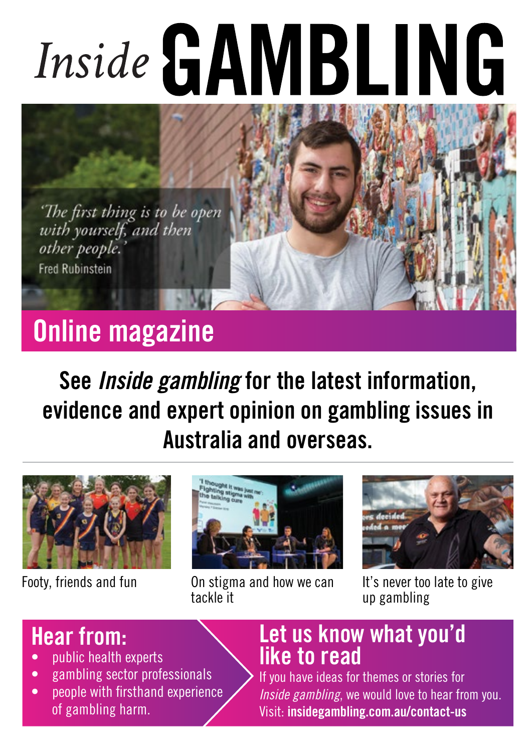# Inside GAMBLING

'The first thing is to be open<br>with yourself, and then other people. **Fred Rubinstein** 

# Online magazine

See *Inside gambling* for the latest information, evidence and expert opinion on gambling issues in Australia and overseas.





Footy, friends and fun **On stigma and how we can** tackle it



It's never too late to give up gambling

## Hear from:

- public health experts
- gambling sector professionals
- people with firsthand experience of gambling harm.

## Let us know what you'd like to read

If you have ideas for themes or stories for *Inside gambling*, we would love to hear from you. Visit: insidegambling.com.au/contact-us